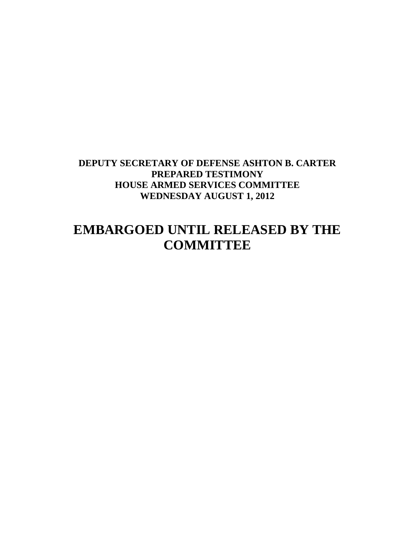## **DEPUTY SECRETARY OF DEFENSE ASHTON B. CARTER PREPARED TESTIMONY HOUSE ARMED SERVICES COMMITTEE WEDNESDAY AUGUST 1, 2012**

# **EMBARGOED UNTIL RELEASED BY THE COMMITTEE**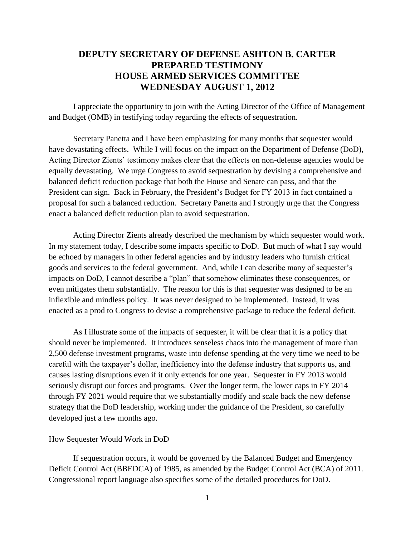### **DEPUTY SECRETARY OF DEFENSE ASHTON B. CARTER PREPARED TESTIMONY HOUSE ARMED SERVICES COMMITTEE WEDNESDAY AUGUST 1, 2012**

I appreciate the opportunity to join with the Acting Director of the Office of Management and Budget (OMB) in testifying today regarding the effects of sequestration.

Secretary Panetta and I have been emphasizing for many months that sequester would have devastating effects. While I will focus on the impact on the Department of Defense (DoD), Acting Director Zients' testimony makes clear that the effects on non-defense agencies would be equally devastating. We urge Congress to avoid sequestration by devising a comprehensive and balanced deficit reduction package that both the House and Senate can pass, and that the President can sign. Back in February, the President's Budget for FY 2013 in fact contained a proposal for such a balanced reduction. Secretary Panetta and I strongly urge that the Congress enact a balanced deficit reduction plan to avoid sequestration.

Acting Director Zients already described the mechanism by which sequester would work. In my statement today, I describe some impacts specific to DoD. But much of what I say would be echoed by managers in other federal agencies and by industry leaders who furnish critical goods and services to the federal government. And, while I can describe many of sequester's impacts on DoD, I cannot describe a "plan" that somehow eliminates these consequences, or even mitigates them substantially. The reason for this is that sequester was designed to be an inflexible and mindless policy. It was never designed to be implemented. Instead, it was enacted as a prod to Congress to devise a comprehensive package to reduce the federal deficit.

As I illustrate some of the impacts of sequester, it will be clear that it is a policy that should never be implemented. It introduces senseless chaos into the management of more than 2,500 defense investment programs, waste into defense spending at the very time we need to be careful with the taxpayer's dollar, inefficiency into the defense industry that supports us, and causes lasting disruptions even if it only extends for one year. Sequester in FY 2013 would seriously disrupt our forces and programs. Over the longer term, the lower caps in FY 2014 through FY 2021 would require that we substantially modify and scale back the new defense strategy that the DoD leadership, working under the guidance of the President, so carefully developed just a few months ago.

#### How Sequester Would Work in DoD

If sequestration occurs, it would be governed by the Balanced Budget and Emergency Deficit Control Act (BBEDCA) of 1985, as amended by the Budget Control Act (BCA) of 2011. Congressional report language also specifies some of the detailed procedures for DoD.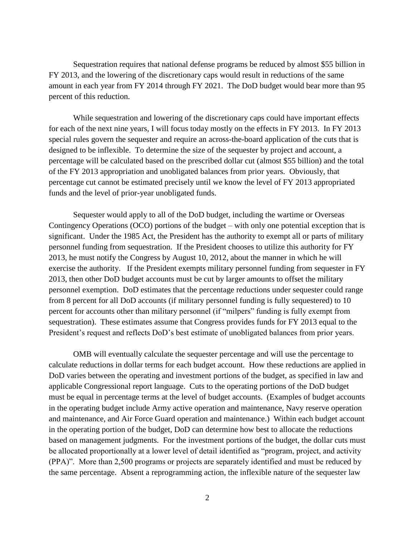Sequestration requires that national defense programs be reduced by almost \$55 billion in FY 2013, and the lowering of the discretionary caps would result in reductions of the same amount in each year from FY 2014 through FY 2021. The DoD budget would bear more than 95 percent of this reduction.

While sequestration and lowering of the discretionary caps could have important effects for each of the next nine years, I will focus today mostly on the effects in FY 2013. In FY 2013 special rules govern the sequester and require an across-the-board application of the cuts that is designed to be inflexible. To determine the size of the sequester by project and account, a percentage will be calculated based on the prescribed dollar cut (almost \$55 billion) and the total of the FY 2013 appropriation and unobligated balances from prior years. Obviously, that percentage cut cannot be estimated precisely until we know the level of FY 2013 appropriated funds and the level of prior-year unobligated funds.

Sequester would apply to all of the DoD budget, including the wartime or Overseas Contingency Operations (OCO) portions of the budget – with only one potential exception that is significant. Under the 1985 Act, the President has the authority to exempt all or parts of military personnel funding from sequestration. If the President chooses to utilize this authority for FY 2013, he must notify the Congress by August 10, 2012, about the manner in which he will exercise the authority. If the President exempts military personnel funding from sequester in FY 2013, then other DoD budget accounts must be cut by larger amounts to offset the military personnel exemption. DoD estimates that the percentage reductions under sequester could range from 8 percent for all DoD accounts (if military personnel funding is fully sequestered) to 10 percent for accounts other than military personnel (if "milpers" funding is fully exempt from sequestration). These estimates assume that Congress provides funds for FY 2013 equal to the President's request and reflects DoD's best estimate of unobligated balances from prior years.

OMB will eventually calculate the sequester percentage and will use the percentage to calculate reductions in dollar terms for each budget account. How these reductions are applied in DoD varies between the operating and investment portions of the budget, as specified in law and applicable Congressional report language. Cuts to the operating portions of the DoD budget must be equal in percentage terms at the level of budget accounts. (Examples of budget accounts in the operating budget include Army active operation and maintenance, Navy reserve operation and maintenance, and Air Force Guard operation and maintenance.) Within each budget account in the operating portion of the budget, DoD can determine how best to allocate the reductions based on management judgments. For the investment portions of the budget, the dollar cuts must be allocated proportionally at a lower level of detail identified as "program, project, and activity (PPA)". More than 2,500 programs or projects are separately identified and must be reduced by the same percentage. Absent a reprogramming action, the inflexible nature of the sequester law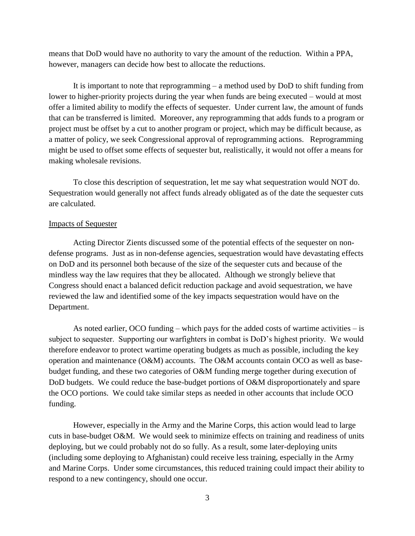means that DoD would have no authority to vary the amount of the reduction. Within a PPA, however, managers can decide how best to allocate the reductions.

It is important to note that reprogramming – a method used by DoD to shift funding from lower to higher-priority projects during the year when funds are being executed – would at most offer a limited ability to modify the effects of sequester. Under current law, the amount of funds that can be transferred is limited. Moreover, any reprogramming that adds funds to a program or project must be offset by a cut to another program or project, which may be difficult because, as a matter of policy, we seek Congressional approval of reprogramming actions. Reprogramming might be used to offset some effects of sequester but, realistically, it would not offer a means for making wholesale revisions.

To close this description of sequestration, let me say what sequestration would NOT do. Sequestration would generally not affect funds already obligated as of the date the sequester cuts are calculated.

#### Impacts of Sequester

Acting Director Zients discussed some of the potential effects of the sequester on nondefense programs. Just as in non-defense agencies, sequestration would have devastating effects on DoD and its personnel both because of the size of the sequester cuts and because of the mindless way the law requires that they be allocated. Although we strongly believe that Congress should enact a balanced deficit reduction package and avoid sequestration, we have reviewed the law and identified some of the key impacts sequestration would have on the Department.

As noted earlier, OCO funding – which pays for the added costs of wartime activities – is subject to sequester. Supporting our warfighters in combat is DoD's highest priority. We would therefore endeavor to protect wartime operating budgets as much as possible, including the key operation and maintenance (O&M) accounts. The O&M accounts contain OCO as well as basebudget funding, and these two categories of O&M funding merge together during execution of DoD budgets. We could reduce the base-budget portions of O&M disproportionately and spare the OCO portions. We could take similar steps as needed in other accounts that include OCO funding.

However, especially in the Army and the Marine Corps, this action would lead to large cuts in base-budget O&M. We would seek to minimize effects on training and readiness of units deploying, but we could probably not do so fully. As a result, some later-deploying units (including some deploying to Afghanistan) could receive less training, especially in the Army and Marine Corps. Under some circumstances, this reduced training could impact their ability to respond to a new contingency, should one occur.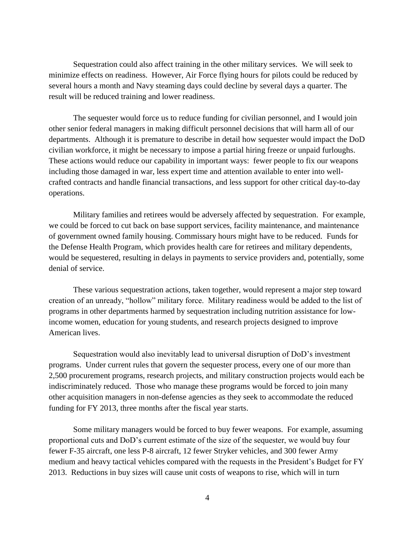Sequestration could also affect training in the other military services. We will seek to minimize effects on readiness. However, Air Force flying hours for pilots could be reduced by several hours a month and Navy steaming days could decline by several days a quarter. The result will be reduced training and lower readiness.

The sequester would force us to reduce funding for civilian personnel, and I would join other senior federal managers in making difficult personnel decisions that will harm all of our departments. Although it is premature to describe in detail how sequester would impact the DoD civilian workforce, it might be necessary to impose a partial hiring freeze or unpaid furloughs. These actions would reduce our capability in important ways: fewer people to fix our weapons including those damaged in war, less expert time and attention available to enter into wellcrafted contracts and handle financial transactions, and less support for other critical day-to-day operations.

Military families and retirees would be adversely affected by sequestration. For example, we could be forced to cut back on base support services, facility maintenance, and maintenance of government owned family housing. Commissary hours might have to be reduced. Funds for the Defense Health Program, which provides health care for retirees and military dependents, would be sequestered, resulting in delays in payments to service providers and, potentially, some denial of service.

These various sequestration actions, taken together, would represent a major step toward creation of an unready, "hollow" military force. Military readiness would be added to the list of programs in other departments harmed by sequestration including nutrition assistance for lowincome women, education for young students, and research projects designed to improve American lives.

Sequestration would also inevitably lead to universal disruption of DoD's investment programs. Under current rules that govern the sequester process, every one of our more than 2,500 procurement programs, research projects, and military construction projects would each be indiscriminately reduced. Those who manage these programs would be forced to join many other acquisition managers in non-defense agencies as they seek to accommodate the reduced funding for FY 2013, three months after the fiscal year starts.

Some military managers would be forced to buy fewer weapons. For example, assuming proportional cuts and DoD's current estimate of the size of the sequester, we would buy four fewer F-35 aircraft, one less P-8 aircraft, 12 fewer Stryker vehicles, and 300 fewer Army medium and heavy tactical vehicles compared with the requests in the President's Budget for FY 2013. Reductions in buy sizes will cause unit costs of weapons to rise, which will in turn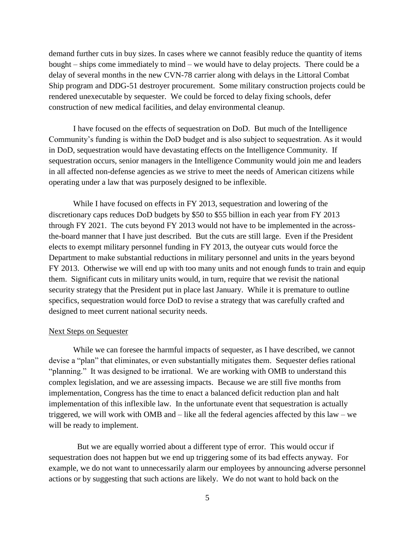demand further cuts in buy sizes. In cases where we cannot feasibly reduce the quantity of items bought – ships come immediately to mind – we would have to delay projects. There could be a delay of several months in the new CVN-78 carrier along with delays in the Littoral Combat Ship program and DDG-51 destroyer procurement. Some military construction projects could be rendered unexecutable by sequester. We could be forced to delay fixing schools, defer construction of new medical facilities, and delay environmental cleanup.

I have focused on the effects of sequestration on DoD. But much of the Intelligence Community's funding is within the DoD budget and is also subject to sequestration. As it would in DoD, sequestration would have devastating effects on the Intelligence Community. If sequestration occurs, senior managers in the Intelligence Community would join me and leaders in all affected non-defense agencies as we strive to meet the needs of American citizens while operating under a law that was purposely designed to be inflexible.

While I have focused on effects in FY 2013, sequestration and lowering of the discretionary caps reduces DoD budgets by \$50 to \$55 billion in each year from FY 2013 through FY 2021. The cuts beyond FY 2013 would not have to be implemented in the acrossthe-board manner that I have just described. But the cuts are still large. Even if the President elects to exempt military personnel funding in FY 2013, the outyear cuts would force the Department to make substantial reductions in military personnel and units in the years beyond FY 2013. Otherwise we will end up with too many units and not enough funds to train and equip them. Significant cuts in military units would, in turn, require that we revisit the national security strategy that the President put in place last January. While it is premature to outline specifics, sequestration would force DoD to revise a strategy that was carefully crafted and designed to meet current national security needs.

#### Next Steps on Sequester

While we can foresee the harmful impacts of sequester, as I have described, we cannot devise a "plan" that eliminates, or even substantially mitigates them. Sequester defies rational "planning." It was designed to be irrational. We are working with OMB to understand this complex legislation, and we are assessing impacts. Because we are still five months from implementation, Congress has the time to enact a balanced deficit reduction plan and halt implementation of this inflexible law. In the unfortunate event that sequestration is actually triggered, we will work with OMB and – like all the federal agencies affected by this law – we will be ready to implement.

But we are equally worried about a different type of error. This would occur if sequestration does not happen but we end up triggering some of its bad effects anyway. For example, we do not want to unnecessarily alarm our employees by announcing adverse personnel actions or by suggesting that such actions are likely. We do not want to hold back on the